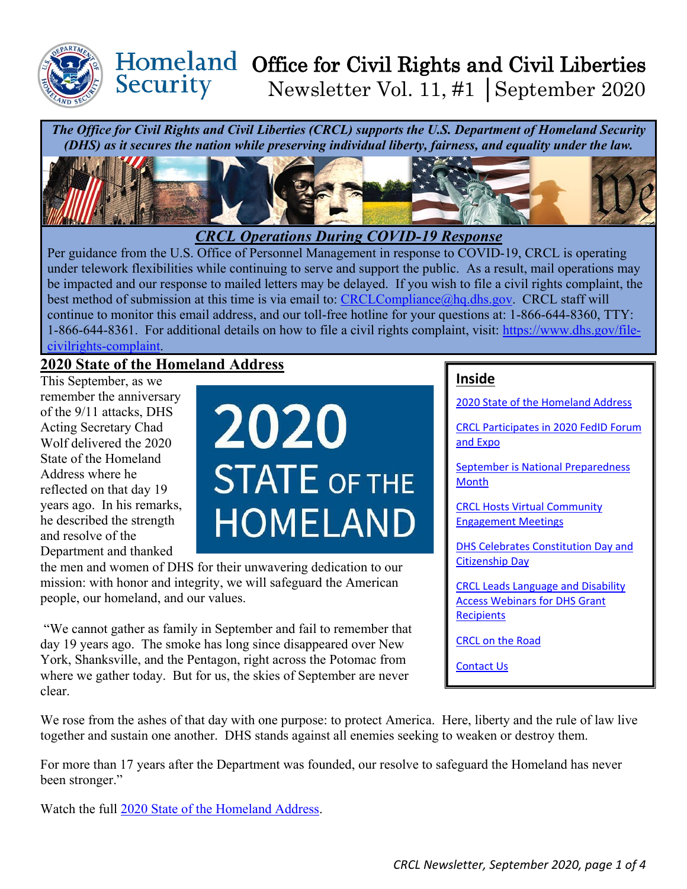

## Homeland Office for Civil Rights and Civil Liberties Security Newsletter Vol. 11, #1 │September 2020

*The Office for Civil Rights and Civil Liberties (CRCL) supports the U.S. Department of Homeland Security (DHS) as it secures the nation while preserving individual liberty, fairness, and equality under the law.* 



 be impacted and our response to mailed letters may be delayed. If you wish to file a civil rights complaint, the continue to monitor this email address, and our toll-free hotline for your questions at: 1-866-644-8360, TTY: 1-866-644-8361. For additional details on how to file a civil rights complaint, visit: [https://www.dhs.gov/file-](https://www.dhs.gov/file-civilrights-complaint)*CRCL Operations During COVID-19 Response*  Per guidance from the U.S. Office of Personnel Management in response to COVID-19, CRCL is operating under telework flexibilities while continuing to serve and support the public. As a result, mail operations may best method of submission at this time is via email to: [CRCLCompliance@hq.dhs.gov.](mailto:CRCLCompliance@hq.dhs.gov) CRCL staff will [civilrights-complaint.](https://www.dhs.gov/file-civilrights-complaint)

## <span id="page-0-0"></span>**2020 State of the Homeland Address**

 and resolve of the This September, as we remember the anniversary of the 9/11 attacks, DHS Acting Secretary Chad Wolf delivered the 2020 State of the Homeland Address where he reflected on that day 19 years ago. In his remarks, he described the strength Department and thanked



 the men and women of DHS for their unwavering dedication to our mission: with honor and integrity, we will safeguard the American people, our homeland, and our values.

 where we gather today. But for us, the skies of September are never "We cannot gather as family in September and fail to remember that day 19 years ago. The smoke has long since disappeared over New York, Shanksville, and the Pentagon, right across the Potomac from clear.

## **Inside**

[2020 State of the Homeland Address](#page-0-0) 

[CRCL Participates in 2020 FedID Forum](#page-1-0)  [and Expo](#page-1-0) 

[September is National Preparedness](#page-1-1)  **Month** 

[CRCL Hosts Virtual Community](#page-2-0)  [Engagement Meetings](#page-2-0) 

[DHS Celebrates Constitution Day and](#page-2-1)  [Citizenship Day](#page-2-1) 

[CRCL Leads Language and Disability](#page-2-2)  [Access Webinars for DHS Grant](#page-2-2)  **Recipients** 

[CRCL on the Road](#page-2-3) 

[Contact Us](#page-3-0) 

 We rose from the ashes of that day with one purpose: to protect America. Here, liberty and the rule of law live together and sustain one another. DHS stands against all enemies seeking to weaken or destroy them.

For more than 17 years after the Department was founded, our resolve to safeguard the Homeland has never been stronger."

Watch the full [2020 State of the Homeland Address.](https://www.dhs.gov/news/2020/09/09/2020-state-homeland?utm_source=hp_slideshow&utm_medium=web&utm_campaign=dhsgov)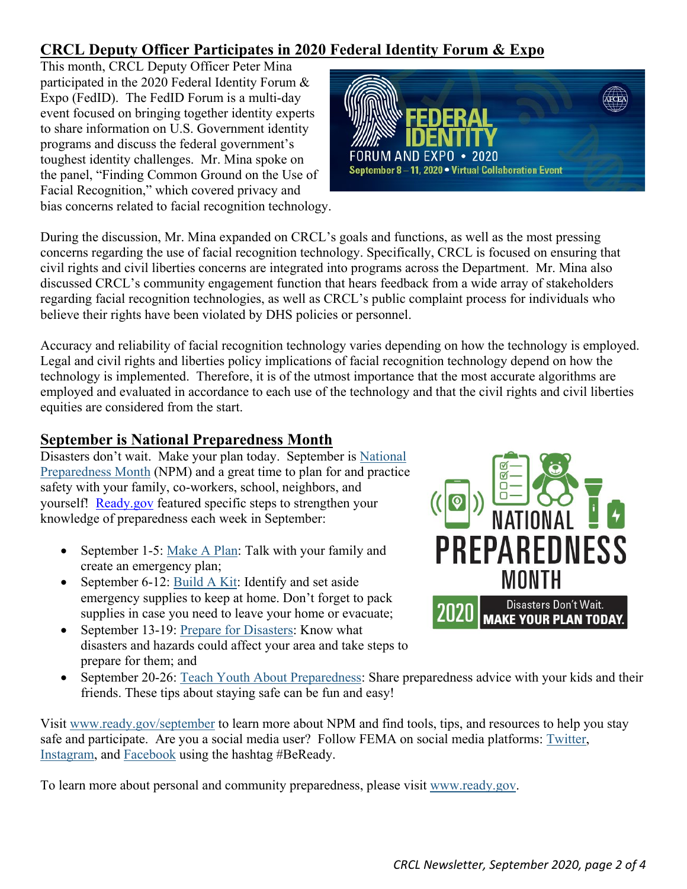# <span id="page-1-0"></span>**CRCL Deputy Officer Participates in 2020 Federal Identity Forum & Expo**

 Expo (FedID). The FedID Forum is a multi-day toughest identity challenges. Mr. Mina spoke on bias concerns related to facial recognition technology. This month, CRCL Deputy Officer Peter Mina participated in the 2020 Federal Identity Forum & event focused on bringing together identity experts to share information on U.S. Government identity programs and discuss the federal government's the panel, "Finding Common Ground on the Use of Facial Recognition," which covered privacy and



 civil rights and civil liberties concerns are integrated into programs across the Department. Mr. Mina also During the discussion, Mr. Mina expanded on CRCL's goals and functions, as well as the most pressing concerns regarding the use of facial recognition technology. Specifically, CRCL is focused on ensuring that discussed CRCL's community engagement function that hears feedback from a wide array of stakeholders regarding facial recognition technologies, as well as CRCL's public complaint process for individuals who believe their rights have been violated by DHS policies or personnel.

 technology is implemented. Therefore, it is of the utmost importance that the most accurate algorithms are Accuracy and reliability of facial recognition technology varies depending on how the technology is employed. Legal and civil rights and liberties policy implications of facial recognition technology depend on how the employed and evaluated in accordance to each use of the technology and that the civil rights and civil liberties equities are considered from the start.

# <span id="page-1-1"></span>**September is National Preparedness Month**

yourself! [Ready.gov](http://www.ready.gov/) featured specific steps to strengthen your Disasters don't wait. Make your plan today. September is [National](https://urldefense.us/v3/__https:/lnks.gd/l/eyJhbGciOiJIUzI1NiJ9.eyJidWxsZXRpbl9saW5rX2lkIjoxMDAsInVyaSI6ImJwMjpjbGljayIsImJ1bGxldGluX2lkIjoiMjAyMDA5MDMuMjY1OTEwNjEiLCJ1cmwiOiJodHRwczovL3d3dy5yZWFkeS5nb3Yvc2VwdGVtYmVyIn0.RavAqsTb9we7CQdzxvykCwOFGkRUolHqXKqI-RTRh7Y/s/928979907/br/83217684093-l__;!!BClRuOV5cvtbuNI!TKg9aywmYO9Rb-IqvpfewBFFXAJXLtl3kyzdgq62B7ZjeDsmJUPzYB2BDSlBXrMAZ5jhL4Ev$)  [Preparedness Month](https://urldefense.us/v3/__https:/lnks.gd/l/eyJhbGciOiJIUzI1NiJ9.eyJidWxsZXRpbl9saW5rX2lkIjoxMDAsInVyaSI6ImJwMjpjbGljayIsImJ1bGxldGluX2lkIjoiMjAyMDA5MDMuMjY1OTEwNjEiLCJ1cmwiOiJodHRwczovL3d3dy5yZWFkeS5nb3Yvc2VwdGVtYmVyIn0.RavAqsTb9we7CQdzxvykCwOFGkRUolHqXKqI-RTRh7Y/s/928979907/br/83217684093-l__;!!BClRuOV5cvtbuNI!TKg9aywmYO9Rb-IqvpfewBFFXAJXLtl3kyzdgq62B7ZjeDsmJUPzYB2BDSlBXrMAZ5jhL4Ev$) (NPM) and a great time to plan for and practice safety with your family, co-workers, school, neighbors, and knowledge of preparedness each week in September:

- September 1-5: [Make A Plan:](https://urldefense.us/v3/__https:/lnks.gd/l/eyJhbGciOiJIUzI1NiJ9.eyJidWxsZXRpbl9saW5rX2lkIjoxMDEsInVyaSI6ImJwMjpjbGljayIsImJ1bGxldGluX2lkIjoiMjAyMDA5MDMuMjY1OTEwNjEiLCJ1cmwiOiJodHRwczovL3d3dy5yZWFkeS5nb3YvcGxhbiJ9.x656tDydbFqmoLCXcxsc3zaMMnr0lq4fgaAvT5BWYIo/s/928979907/br/83217684093-l__;!!BClRuOV5cvtbuNI!TKg9aywmYO9Rb-IqvpfewBFFXAJXLtl3kyzdgq62B7ZjeDsmJUPzYB2BDSlBXrMAZ6Xo-S7d$) Talk with your family and create an emergency plan;
- September 6-12: [Build A Kit:](https://urldefense.us/v3/__https:/lnks.gd/l/eyJhbGciOiJIUzI1NiJ9.eyJidWxsZXRpbl9saW5rX2lkIjoxMDIsInVyaSI6ImJwMjpjbGljayIsImJ1bGxldGluX2lkIjoiMjAyMDA5MDMuMjY1OTEwNjEiLCJ1cmwiOiJodHRwczovL3d3dy5yZWFkeS5nb3Yva2l0In0.BexiYXTLtEjP9TZ3sWhxJa4eX3KVcHJtNp6hn34kkkk/s/928979907/br/83217684093-l__;!!BClRuOV5cvtbuNI!TKg9aywmYO9Rb-IqvpfewBFFXAJXLtl3kyzdgq62B7ZjeDsmJUPzYB2BDSlBXrMAZ82Eqzg4$) Identify and set aside emergency supplies to keep at home. Don't forget to pack supplies in case you need to leave your home or evacuate;
- September 13-19: [Prepare for Disasters:](https://urldefense.us/v3/__https:/lnks.gd/l/eyJhbGciOiJIUzI1NiJ9.eyJidWxsZXRpbl9saW5rX2lkIjoxMDMsInVyaSI6ImJwMjpjbGljayIsImJ1bGxldGluX2lkIjoiMjAyMDA5MDMuMjY1OTEwNjEiLCJ1cmwiOiJodHRwczovL3d3dy5yZWFkeS5nb3YvYmUtaW5mb3JtZWQifQ.eRiQqEzpaEg0zFaWS_S6JYxD_WaSlMs51bJpWS47b8E/s/928979907/br/83217684093-l__;!!BClRuOV5cvtbuNI!TKg9aywmYO9Rb-IqvpfewBFFXAJXLtl3kyzdgq62B7ZjeDsmJUPzYB2BDSlBXrMAZyjXTyQS$) Know what disasters and hazards could affect your area and take steps to prepare for them; and



• September 20-26: [Teach Youth About Preparedness:](https://urldefense.us/v3/__https:/lnks.gd/l/eyJhbGciOiJIUzI1NiJ9.eyJidWxsZXRpbl9saW5rX2lkIjoxMDQsInVyaSI6ImJwMjpjbGljayIsImJ1bGxldGluX2lkIjoiMjAyMDA5MDMuMjY1OTEwNjEiLCJ1cmwiOiJodHRwczovL3d3dy5yZWFkeS5nb3Yva2lkcyJ9.Ng7S3OFgIGYDGiiPomlM7SBAbuSNwlhsJSfNDEKhP1U/s/928979907/br/83217684093-l__;!!BClRuOV5cvtbuNI!TKg9aywmYO9Rb-IqvpfewBFFXAJXLtl3kyzdgq62B7ZjeDsmJUPzYB2BDSlBXrMAZzz6279X$) Share preparedness advice with your kids and their friends. These tips about staying safe can be fun and easy!

[Instagram,](https://urldefense.us/v3/__https:/lnks.gd/l/eyJhbGciOiJIUzI1NiJ9.eyJidWxsZXRpbl9saW5rX2lkIjoxMDcsInVyaSI6ImJwMjpjbGljayIsImJ1bGxldGluX2lkIjoiMjAyMDA5MDMuMjY1OTEwNjEiLCJ1cmwiOiJodHRwczovL3d3dy5pbnN0YWdyYW0uY29tL2ZlbWEvIn0.A6AavAwvUFi-s1NXceAkJV3Njl7pLAYzTR2_JYWS7O8/s/928979907/br/83217684093-l__;!!BClRuOV5cvtbuNI!TKg9aywmYO9Rb-IqvpfewBFFXAJXLtl3kyzdgq62B7ZjeDsmJUPzYB2BDSlBXrMAZ0fTOjeC$) and [Facebook](https://urldefense.us/v3/__https:/lnks.gd/l/eyJhbGciOiJIUzI1NiJ9.eyJidWxsZXRpbl9saW5rX2lkIjoxMDgsInVyaSI6ImJwMjpjbGljayIsImJ1bGxldGluX2lkIjoiMjAyMDA5MDMuMjY1OTEwNjEiLCJ1cmwiOiJodHRwczovL3d3dy5mYWNlYm9vay5jb20vRkVNQSJ9.05l3IezgKzoA-yT_VkYJYbEpfcHJu0rWX0-y_3H3TWU/s/928979907/br/83217684093-l__;!!BClRuOV5cvtbuNI!TKg9aywmYO9Rb-IqvpfewBFFXAJXLtl3kyzdgq62B7ZjeDsmJUPzYB2BDSlBXrMAZyky2A3y$) using the hashtag #BeReady. Visit<www.ready.gov/september>to learn more about NPM and find tools, tips, and resources to help you stay safe and participate. Are you a social media user? Follow FEMA on social media platforms: [Twitter,](https://urldefense.us/v3/__https:/lnks.gd/l/eyJhbGciOiJIUzI1NiJ9.eyJidWxsZXRpbl9saW5rX2lkIjoxMDYsInVyaSI6ImJwMjpjbGljayIsImJ1bGxldGluX2lkIjoiMjAyMDA5MDMuMjY1OTEwNjEiLCJ1cmwiOiJodHRwczovL3R3aXR0ZXIuY29tL2ZlbWEifQ.8ZuCdieRQ03XF85YPpbgYdcNHaWan2SXiS7FB05Zm_M/s/928979907/br/83217684093-l__;!!BClRuOV5cvtbuNI!TKg9aywmYO9Rb-IqvpfewBFFXAJXLtl3kyzdgq62B7ZjeDsmJUPzYB2BDSlBXrMAZwofOR9H$)

To learn more about personal and community preparedness, please visit [w](https://urldefense.us/v3/__https:/lnks.gd/l/eyJhbGciOiJIUzI1NiJ9.eyJidWxsZXRpbl9saW5rX2lkIjoxMDksInVyaSI6ImJwMjpjbGljayIsImJ1bGxldGluX2lkIjoiMjAyMDA5MDMuMjY1OTEwNjEiLCJ1cmwiOiJodHRwOi8vd3d3LnJlYWR5Lmdvdi8ifQ.REhhWwHZ8IzAow6JsbqGBhYIl-vN3us61Xwjhd0aHYk/s/928979907/br/83217684093-l__;!!BClRuOV5cvtbuNI!TKg9aywmYO9Rb-IqvpfewBFFXAJXLtl3kyzdgq62B7ZjeDsmJUPzYB2BDSlBXrMAZ4OZ75jR$)[ww.ready.go](www.ready.gov)[v.](https://urldefense.us/v3/__https:/lnks.gd/l/eyJhbGciOiJIUzI1NiJ9.eyJidWxsZXRpbl9saW5rX2lkIjoxMDksInVyaSI6ImJwMjpjbGljayIsImJ1bGxldGluX2lkIjoiMjAyMDA5MDMuMjY1OTEwNjEiLCJ1cmwiOiJodHRwOi8vd3d3LnJlYWR5Lmdvdi8ifQ.REhhWwHZ8IzAow6JsbqGBhYIl-vN3us61Xwjhd0aHYk/s/928979907/br/83217684093-l__;!!BClRuOV5cvtbuNI!TKg9aywmYO9Rb-IqvpfewBFFXAJXLtl3kyzdgq62B7ZjeDsmJUPzYB2BDSlBXrMAZ4OZ75jR$)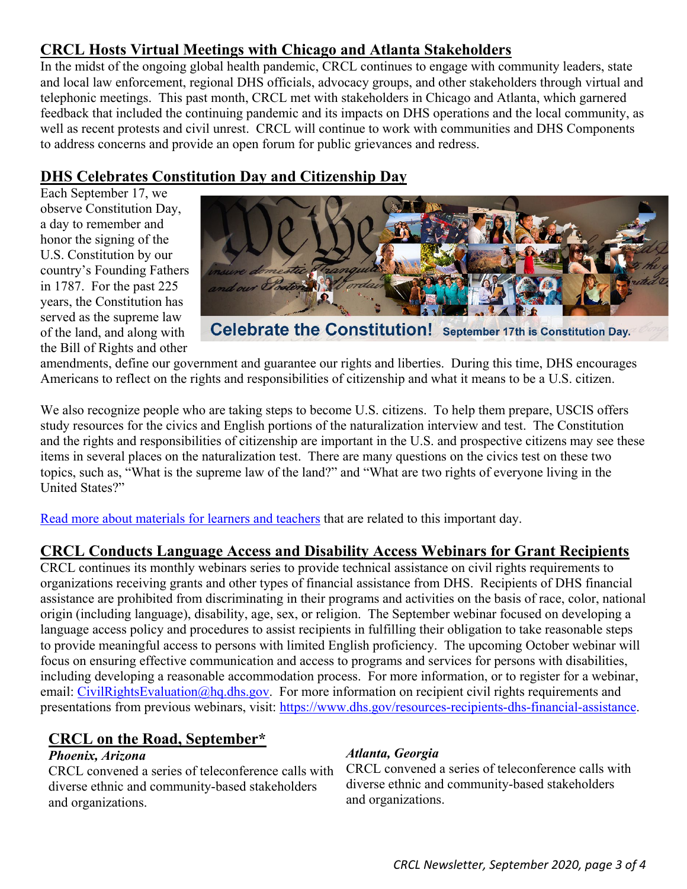# <span id="page-2-0"></span> **CRCL Hosts Virtual Meetings with Chicago and Atlanta Stakeholders**

 In the midst of the ongoing global health pandemic, CRCL continues to engage with community leaders, state well as recent protests and civil unrest. CRCL will continue to work with communities and DHS Components to address concerns and provide an open forum for public grievances and redress. and local law enforcement, regional DHS officials, advocacy groups, and other stakeholders through virtual and telephonic meetings. This past month, CRCL met with stakeholders in Chicago and Atlanta, which garnered feedback that included the continuing pandemic and its impacts on DHS operations and the local community, as

## <span id="page-2-1"></span>**DHS Celebrates Constitution Day and Citizenship Day**

Each September 17, we observe Constitution Day, a day to remember and honor the signing of the U.S. Constitution by our country's Founding Fathers in 1787. For the past 225 years, the Constitution has served as the supreme law of the land, and along with the Bill of Rights and other



Celebrate the Constitution! September 17th is Constitution Day.

amendments, define our government and guarantee our rights and liberties. During this time, DHS encourages Americans to reflect on the rights and responsibilities of citizenship and what it means to be a U.S. citizen.

 We also recognize people who are taking steps to become U.S. citizens. To help them prepare, USCIS offers study resources for the civics and English portions of the naturalization interview and test. The Constitution and the rights and responsibilities of citizenship are important in the U.S. and prospective citizens may see these items in several places on the naturalization test. There are many questions on the civics test on these two topics, such as, "What is the supreme law of the land?" and "What are two rights of everyone living in the United States?"

[Read more about materials for learners and teachers](https://www.uscis.gov/citizenship/resources-for-educational-programs/constitution-day-and-citizenship-day) that are related to this important day.

## <span id="page-2-2"></span>**CRCL Conducts Language Access and Disability Access Webinars for Grant Recipients**

 organizations receiving grants and other types of financial assistance from DHS. Recipients of DHS financial language access policy and procedures to assist recipients in fulfilling their obligation to take reasonable steps CRCL continues its monthly webinars series to provide technical assistance on civil rights requirements to assistance are prohibited from discriminating in their programs and activities on the basis of race, color, national origin (including language), disability, age, sex, or religion. The September webinar focused on developing a to provide meaningful access to persons with limited English proficiency. The upcoming October webinar will focus on ensuring effective communication and access to programs and services for persons with disabilities, including developing a reasonable accommodation process. For more information, or to register for a webinar, email: [CivilRightsEvaluation@hq.dhs.gov.](mailto:CivilRightsEvaluation@hq.dhs.gov) For more information on recipient civil rights requirements and presentations from previous webinars, visit: [https://www.dhs.gov/resources-recipients-dhs-financial-assistance.](https://www.dhs.gov/resources-recipients-dhs-financial-assistance)

## <span id="page-2-3"></span>**CRCL on the Road, September\***

CRCL convened a series of teleconference calls with CRCL convened a series of teleconference calls w<br>diverse ethnic and community-based stakeholders diverse ethnic and community-based stakeholders diverse ethnic and community-based stakeholders diverse ethnic and and organizations. and organizations.

*Phoenix, Arizona*<br>CRCL convened a series of teleconference calls with CRCL convened a series of teleconference calls with